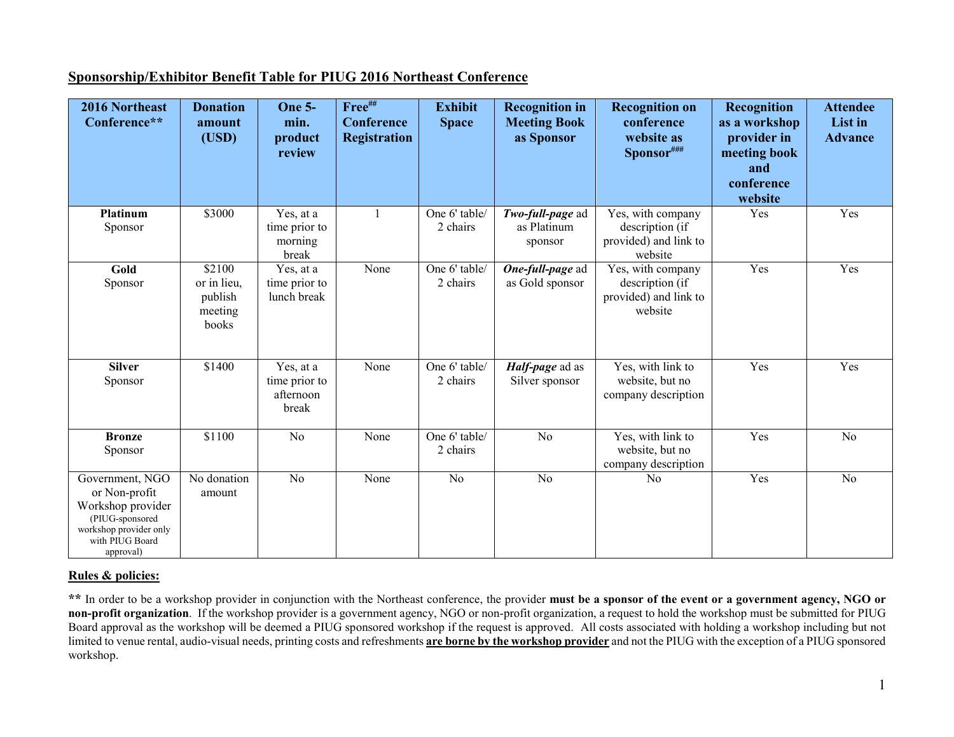## **Sponsorship/Exhibitor Benefit Table for PIUG 2016 Northeast Conference**

| 2016 Northeast<br>Conference**                                                                                                     | <b>Donation</b><br>amount<br>(USD)                   | <b>One 5-</b><br>min.<br>product<br>review       | Free##<br><b>Conference</b><br><b>Registration</b> | <b>Exhibit</b><br><b>Space</b> | <b>Recognition in</b><br><b>Meeting Book</b><br>as Sponsor | <b>Recognition on</b><br>conference<br>website as<br>Sponsor###          | Recognition<br>as a workshop<br>provider in<br>meeting book<br>and<br>conference<br>website | <b>Attendee</b><br>List in<br><b>Advance</b> |
|------------------------------------------------------------------------------------------------------------------------------------|------------------------------------------------------|--------------------------------------------------|----------------------------------------------------|--------------------------------|------------------------------------------------------------|--------------------------------------------------------------------------|---------------------------------------------------------------------------------------------|----------------------------------------------|
| Platinum<br>Sponsor                                                                                                                | \$3000                                               | Yes, at a<br>time prior to<br>morning<br>break   | $\mathbf{1}$                                       | One 6' table/<br>2 chairs      | Two-full-page ad<br>as Platinum<br>sponsor                 | Yes, with company<br>description (if<br>provided) and link to<br>website | Yes                                                                                         | Yes                                          |
| Gold<br>Sponsor                                                                                                                    | \$2100<br>or in lieu,<br>publish<br>meeting<br>books | Yes, at a<br>time prior to<br>lunch break        | None                                               | One 6' table/<br>2 chairs      | One-full-page ad<br>as Gold sponsor                        | Yes, with company<br>description (if<br>provided) and link to<br>website | Yes                                                                                         | Yes                                          |
| <b>Silver</b><br>Sponsor                                                                                                           | \$1400                                               | Yes, at a<br>time prior to<br>afternoon<br>break | None                                               | One 6' table/<br>2 chairs      | Half-page ad as<br>Silver sponsor                          | Yes, with link to<br>website, but no<br>company description              | Yes                                                                                         | Yes                                          |
| <b>Bronze</b><br>Sponsor                                                                                                           | \$1100                                               | N <sub>o</sub>                                   | None                                               | One 6' table/<br>2 chairs      | N <sub>o</sub>                                             | Yes, with link to<br>website, but no<br>company description              | Yes                                                                                         | No                                           |
| Government, NGO<br>or Non-profit<br>Workshop provider<br>(PIUG-sponsored<br>workshop provider only<br>with PIUG Board<br>approval) | No donation<br>amount                                | $\overline{No}$                                  | None                                               | $\overline{No}$                | $\overline{No}$                                            | No                                                                       | Yes                                                                                         | $\overline{No}$                              |

## **Rules & policies:**

**\*\*** In order to be a workshop provider in conjunction with the Northeast conference, the provider **must be a sponsor of the event or a government agency, NGO or non-profit organization**. If the workshop provider is a government agency, NGO or non-profit organization, a request to hold the workshop must be submitted for PIUG Board approval as the workshop will be deemed a PIUG sponsored workshop if the request is approved. All costs associated with holding a workshop including but not limited to venue rental, audio-visual needs, printing costs and refreshments **are borne by the workshop provider** and not the PIUG with the exception of a PIUG sponsored workshop.